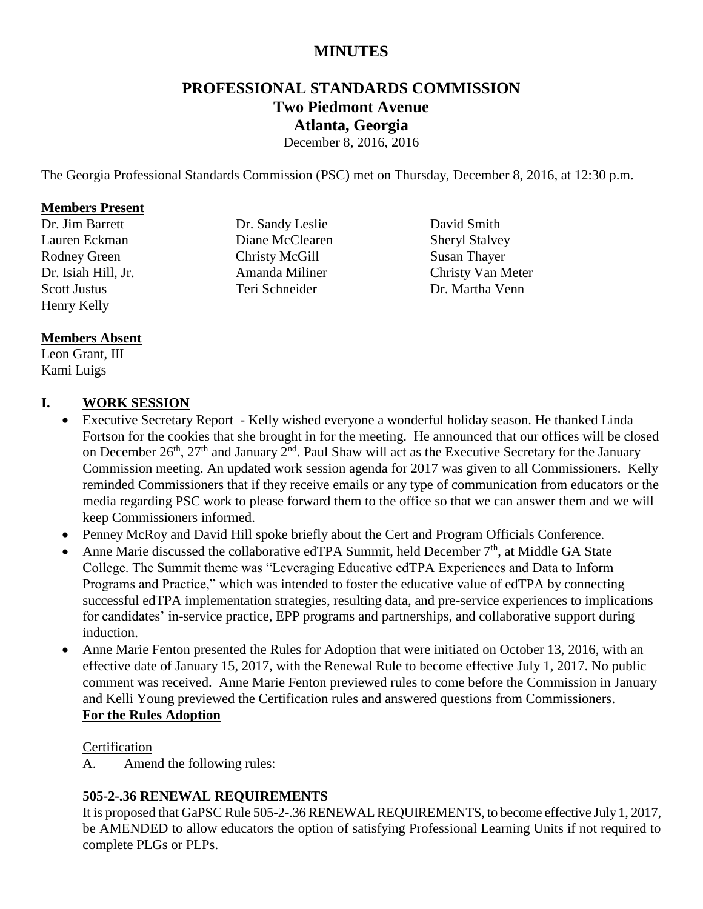# **MINUTES**

# **PROFESSIONAL STANDARDS COMMISSION Two Piedmont Avenue Atlanta, Georgia**

December 8, 2016, 2016

The Georgia Professional Standards Commission (PSC) met on Thursday, December 8, 2016, at 12:30 p.m.

#### **Members Present**

Dr. Jim Barrett Lauren Eckman Rodney Green Dr. Isiah Hill, Jr. Scott Justus Henry Kelly

# Dr. Sandy Leslie Diane McClearen Christy McGill Amanda Miliner Teri Schneider

David Smith Sheryl Stalvey Susan Thayer Christy Van Meter Dr. Martha Venn

# **Members Absent**

Leon Grant, III Kami Luigs

# **I. WORK SESSION**

- Executive Secretary Report Kelly wished everyone a wonderful holiday season. He thanked Linda Fortson for the cookies that she brought in for the meeting. He announced that our offices will be closed on December  $26<sup>th</sup>$ ,  $27<sup>th</sup>$  and January  $2<sup>nd</sup>$ . Paul Shaw will act as the Executive Secretary for the January Commission meeting. An updated work session agenda for 2017 was given to all Commissioners. Kelly reminded Commissioners that if they receive emails or any type of communication from educators or the media regarding PSC work to please forward them to the office so that we can answer them and we will keep Commissioners informed.
- Penney McRoy and David Hill spoke briefly about the Cert and Program Officials Conference.
- Anne Marie discussed the collaborative edTPA Summit, held December  $7<sup>th</sup>$ , at Middle GA State College. The Summit theme was "Leveraging Educative edTPA Experiences and Data to Inform Programs and Practice," which was intended to foster the educative value of edTPA by connecting successful edTPA implementation strategies, resulting data, and pre-service experiences to implications for candidates' in-service practice, EPP programs and partnerships, and collaborative support during induction.
- Anne Marie Fenton presented the Rules for Adoption that were initiated on October 13, 2016, with an effective date of January 15, 2017, with the Renewal Rule to become effective July 1, 2017. No public comment was received. Anne Marie Fenton previewed rules to come before the Commission in January and Kelli Young previewed the Certification rules and answered questions from Commissioners. **For the Rules Adoption**

# **Certification**

A. Amend the following rules:

# **505-2-.36 RENEWAL REQUIREMENTS**

It is proposed that GaPSC Rule 505-2-.36 RENEWAL REQUIREMENTS, to become effective July 1, 2017, be AMENDED to allow educators the option of satisfying Professional Learning Units if not required to complete PLGs or PLPs.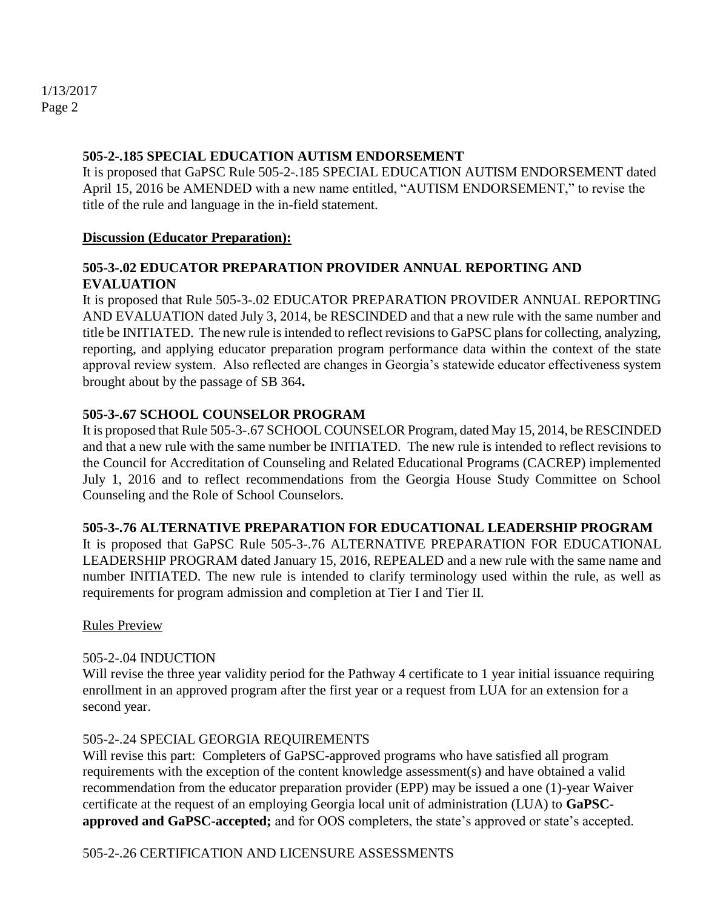#### **505-2-.185 SPECIAL EDUCATION AUTISM ENDORSEMENT**

It is proposed that GaPSC Rule 505-2-.185 SPECIAL EDUCATION AUTISM ENDORSEMENT dated April 15, 2016 be AMENDED with a new name entitled, "AUTISM ENDORSEMENT," to revise the title of the rule and language in the in-field statement.

#### **Discussion (Educator Preparation):**

# **505-3-.02 EDUCATOR PREPARATION PROVIDER ANNUAL REPORTING AND EVALUATION**

It is proposed that Rule 505-3-.02 EDUCATOR PREPARATION PROVIDER ANNUAL REPORTING AND EVALUATION dated July 3, 2014, be RESCINDED and that a new rule with the same number and title be INITIATED. The new rule is intended to reflect revisions to GaPSC plans for collecting, analyzing, reporting, and applying educator preparation program performance data within the context of the state approval review system. Also reflected are changes in Georgia's statewide educator effectiveness system brought about by the passage of SB 364**.**

# **505-3-.67 SCHOOL COUNSELOR PROGRAM**

It is proposed that Rule 505-3-.67 SCHOOL COUNSELOR Program, dated May 15, 2014, be RESCINDED and that a new rule with the same number be INITIATED. The new rule is intended to reflect revisions to the Council for Accreditation of Counseling and Related Educational Programs (CACREP) implemented July 1, 2016 and to reflect recommendations from the Georgia House Study Committee on School Counseling and the Role of School Counselors.

# **505-3-.76 ALTERNATIVE PREPARATION FOR EDUCATIONAL LEADERSHIP PROGRAM**

It is proposed that GaPSC Rule 505-3-.76 ALTERNATIVE PREPARATION FOR EDUCATIONAL LEADERSHIP PROGRAM dated January 15, 2016, REPEALED and a new rule with the same name and number INITIATED. The new rule is intended to clarify terminology used within the rule, as well as requirements for program admission and completion at Tier I and Tier II.

#### Rules Preview

# 505-2-.04 INDUCTION

Will revise the three year validity period for the Pathway 4 certificate to 1 year initial issuance requiring enrollment in an approved program after the first year or a request from LUA for an extension for a second year.

# 505-2-.24 SPECIAL GEORGIA REQUIREMENTS

Will revise this part: Completers of GaPSC-approved programs who have satisfied all program requirements with the exception of the content knowledge assessment(s) and have obtained a valid recommendation from the educator preparation provider (EPP) may be issued a one (1)-year Waiver certificate at the request of an employing Georgia local unit of administration (LUA) to **GaPSCapproved and GaPSC-accepted;** and for OOS completers, the state's approved or state's accepted.

# 505-2-.26 CERTIFICATION AND LICENSURE ASSESSMENTS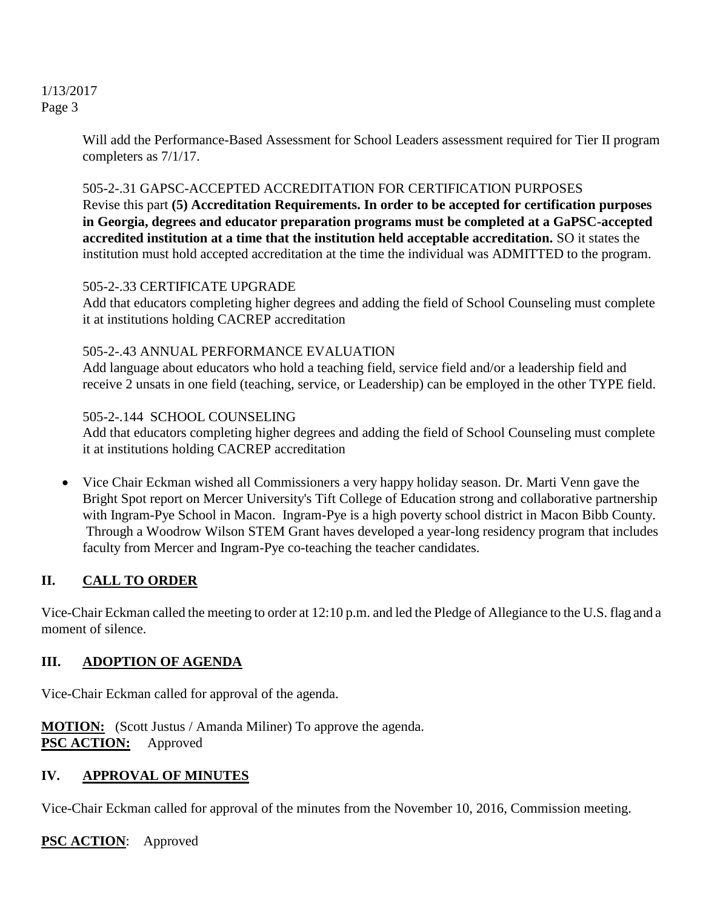Will add the Performance-Based Assessment for School Leaders assessment required for Tier II program completers as 7/1/17.

# 505-2-.31 GAPSC-ACCEPTED ACCREDITATION FOR CERTIFICATION PURPOSES

Revise this part **(5) Accreditation Requirements. In order to be accepted for certification purposes in Georgia, degrees and educator preparation programs must be completed at a GaPSC-accepted accredited institution at a time that the institution held acceptable accreditation.** SO it states the institution must hold accepted accreditation at the time the individual was ADMITTED to the program.

# 505-2-.33 CERTIFICATE UPGRADE

Add that educators completing higher degrees and adding the field of School Counseling must complete it at institutions holding CACREP accreditation

# 505-2-.43 ANNUAL PERFORMANCE EVALUATION

Add language about educators who hold a teaching field, service field and/or a leadership field and receive 2 unsats in one field (teaching, service, or Leadership) can be employed in the other TYPE field.

# 505-2-.144 SCHOOL COUNSELING

Add that educators completing higher degrees and adding the field of School Counseling must complete it at institutions holding CACREP accreditation

 Vice Chair Eckman wished all Commissioners a very happy holiday season. Dr. Marti Venn gave the Bright Spot report on Mercer University's Tift College of Education strong and collaborative partnership with Ingram-Pye School in Macon. Ingram-Pye is a high poverty school district in Macon Bibb County. Through a Woodrow Wilson STEM Grant haves developed a year-long residency program that includes faculty from Mercer and Ingram-Pye co-teaching the teacher candidates.

# **II. CALL TO ORDER**

Vice-Chair Eckman called the meeting to order at 12:10 p.m. and led the Pledge of Allegiance to the U.S. flag and a moment of silence.

# **III. ADOPTION OF AGENDA**

Vice-Chair Eckman called for approval of the agenda.

**MOTION:** (Scott Justus / Amanda Miliner) To approve the agenda. **PSC ACTION:** Approved

# **IV. APPROVAL OF MINUTES**

Vice-Chair Eckman called for approval of the minutes from the November 10, 2016, Commission meeting.

**PSC ACTION**: Approved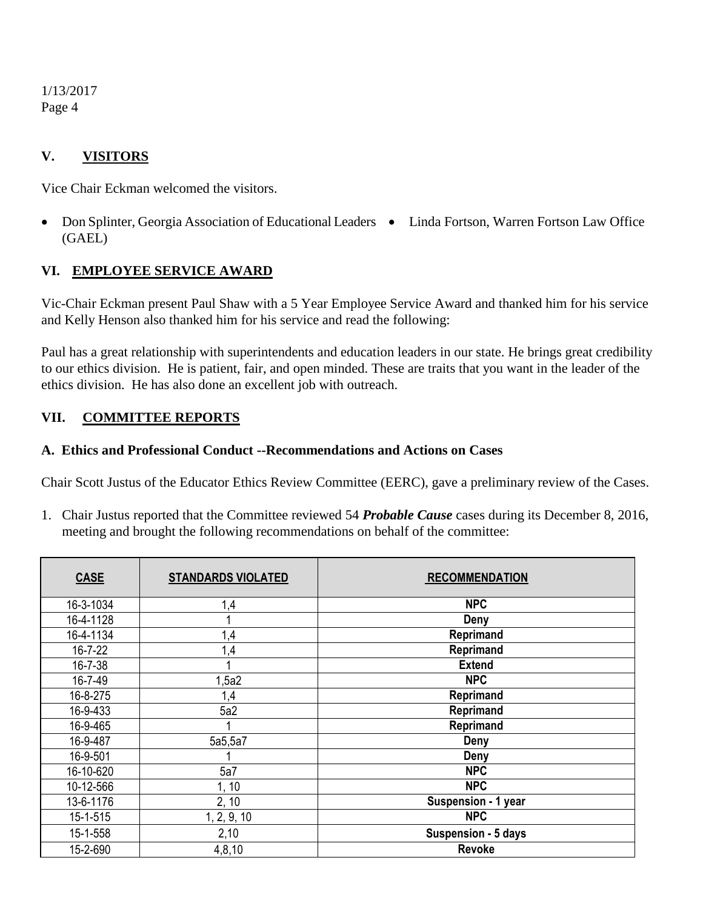# **V. VISITORS**

Vice Chair Eckman welcomed the visitors.

• Don Splinter, Georgia Association of Educational Leaders . Linda Fortson, Warren Fortson Law Office (GAEL)

#### **VI. EMPLOYEE SERVICE AWARD**

Vic-Chair Eckman present Paul Shaw with a 5 Year Employee Service Award and thanked him for his service and Kelly Henson also thanked him for his service and read the following:

Paul has a great relationship with superintendents and education leaders in our state. He brings great credibility to our ethics division. He is patient, fair, and open minded. These are traits that you want in the leader of the ethics division. He has also done an excellent job with outreach.

#### **VII. COMMITTEE REPORTS**

#### **A. Ethics and Professional Conduct --Recommendations and Actions on Cases**

Chair Scott Justus of the Educator Ethics Review Committee (EERC), gave a preliminary review of the Cases.

1. Chair Justus reported that the Committee reviewed 54 *Probable Cause* cases during its December 8, 2016, meeting and brought the following recommendations on behalf of the committee:

| <b>CASE</b>   | <b>STANDARDS VIOLATED</b> | <b>RECOMMENDATION</b> |
|---------------|---------------------------|-----------------------|
| 16-3-1034     | 1,4                       | <b>NPC</b>            |
| 16-4-1128     |                           | Deny                  |
| 16-4-1134     | 1,4                       | Reprimand             |
| $16 - 7 - 22$ | 1,4                       | Reprimand             |
| 16-7-38       |                           | <b>Extend</b>         |
| 16-7-49       | 1,5a2                     | <b>NPC</b>            |
| 16-8-275      | 1,4                       | Reprimand             |
| 16-9-433      | 5a2                       | Reprimand             |
| 16-9-465      |                           | Reprimand             |
| 16-9-487      | 5a5,5a7                   | Deny                  |
| 16-9-501      |                           | Deny                  |
| 16-10-620     | 5a7                       | <b>NPC</b>            |
| 10-12-566     | 1, 10                     | <b>NPC</b>            |
| 13-6-1176     | 2, 10                     | Suspension - 1 year   |
| 15-1-515      | 1, 2, 9, 10               | <b>NPC</b>            |
| 15-1-558      | 2,10                      | Suspension - 5 days   |
| 15-2-690      | 4, 8, 10                  | Revoke                |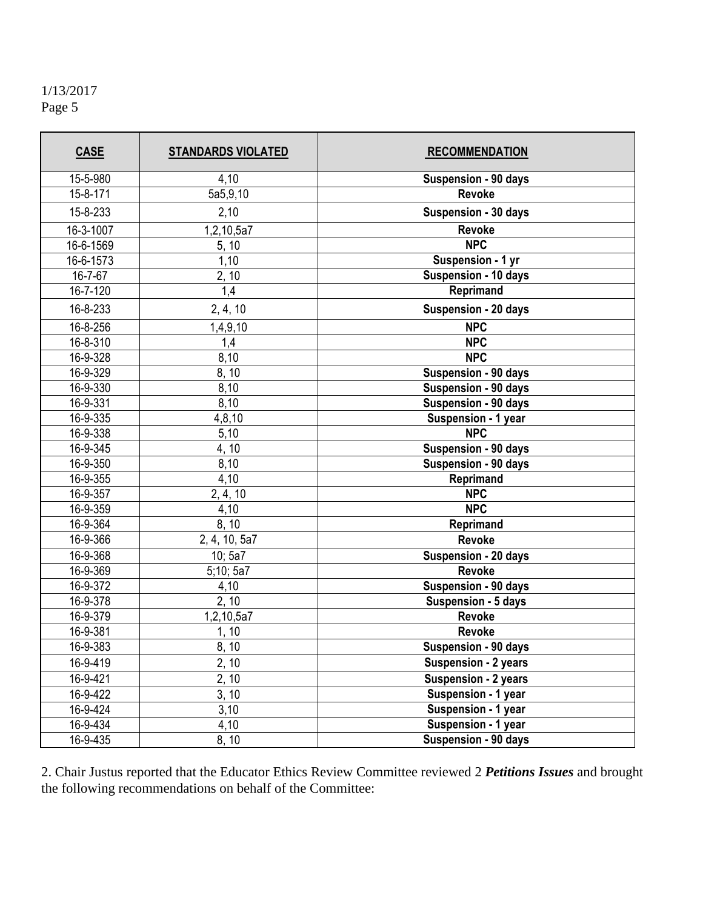| <b>CASE</b> | <b>STANDARDS VIOLATED</b> | <b>RECOMMENDATION</b> |
|-------------|---------------------------|-----------------------|
| 15-5-980    | 4,10                      | Suspension - 90 days  |
| 15-8-171    | 5a5,9,10                  | <b>Revoke</b>         |
| 15-8-233    | 2,10                      | Suspension - 30 days  |
| 16-3-1007   | 1,2,10,5a7                | <b>Revoke</b>         |
| 16-6-1569   | 5, 10                     | <b>NPC</b>            |
| 16-6-1573   | 1,10                      | Suspension - 1 yr     |
| 16-7-67     | 2, 10                     | Suspension - 10 days  |
| 16-7-120    | 1,4                       | Reprimand             |
| 16-8-233    | 2, 4, 10                  | Suspension - 20 days  |
| 16-8-256    | 1,4,9,10                  | <b>NPC</b>            |
| 16-8-310    | 1,4                       | <b>NPC</b>            |
| 16-9-328    | 8,10                      | <b>NPC</b>            |
| 16-9-329    | 8, 10                     | Suspension - 90 days  |
| 16-9-330    | 8,10                      | Suspension - 90 days  |
| 16-9-331    | 8,10                      | Suspension - 90 days  |
| 16-9-335    | 4,8,10                    | Suspension - 1 year   |
| 16-9-338    | 5,10                      | <b>NPC</b>            |
| 16-9-345    | 4, 10                     | Suspension - 90 days  |
| 16-9-350    | 8,10                      | Suspension - 90 days  |
| 16-9-355    | 4,10                      | Reprimand             |
| 16-9-357    | 2, 4, 10                  | <b>NPC</b>            |
| 16-9-359    | 4,10                      | <b>NPC</b>            |
| 16-9-364    | 8, 10                     | Reprimand             |
| 16-9-366    | 2, 4, 10, 5a7             | Revoke                |
| 16-9-368    | 10; 5a7                   | Suspension - 20 days  |
| 16-9-369    | 5;10;5a7                  | Revoke                |
| 16-9-372    | 4,10                      | Suspension - 90 days  |
| 16-9-378    | 2, 10                     | Suspension - 5 days   |
| 16-9-379    | 1,2,10,5a7                | Revoke                |
| 16-9-381    | 1, 10                     | Revoke                |
| 16-9-383    | 8, 10                     | Suspension - 90 days  |
| 16-9-419    | 2, 10                     | Suspension - 2 years  |
| 16-9-421    | 2, 10                     | Suspension - 2 years  |
| 16-9-422    | 3, 10                     | Suspension - 1 year   |
| 16-9-424    | 3,10                      | Suspension - 1 year   |
| 16-9-434    | 4,10                      | Suspension - 1 year   |
| 16-9-435    | 8, 10                     | Suspension - 90 days  |

2. Chair Justus reported that the Educator Ethics Review Committee reviewed 2 *Petitions Issues* and brought the following recommendations on behalf of the Committee: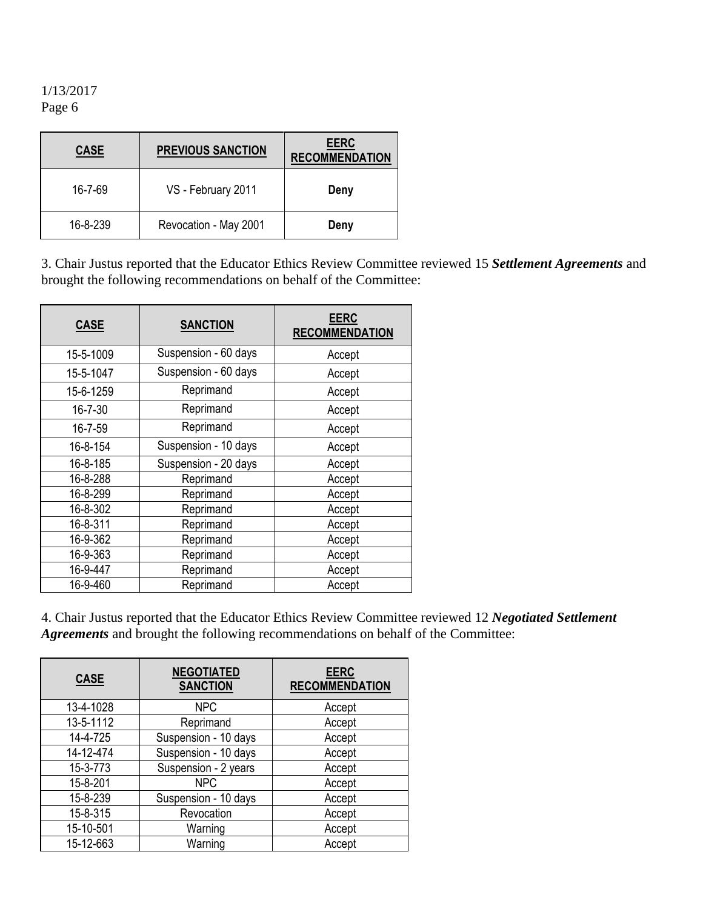| <b>CASE</b> | <b>PREVIOUS SANCTION</b> | <b>EERC</b><br><b>RECOMMENDATION</b> |
|-------------|--------------------------|--------------------------------------|
| 16-7-69     | VS - February 2011       | Deny                                 |
| 16-8-239    | Revocation - May 2001    | Deny                                 |

3. Chair Justus reported that the Educator Ethics Review Committee reviewed 15 *Settlement Agreements* and brought the following recommendations on behalf of the Committee:

| <b>CASE</b>   | <b>SANCTION</b>      | <b>EERC</b><br><b>RECOMMENDATION</b> |
|---------------|----------------------|--------------------------------------|
| 15-5-1009     | Suspension - 60 days | Accept                               |
| 15-5-1047     | Suspension - 60 days | Accept                               |
| 15-6-1259     | Reprimand            | Accept                               |
| $16 - 7 - 30$ | Reprimand            | Accept                               |
| 16-7-59       | Reprimand            | Accept                               |
| 16-8-154      | Suspension - 10 days | Accept                               |
| 16-8-185      | Suspension - 20 days | Accept                               |
| 16-8-288      | Reprimand            | Accept                               |
| 16-8-299      | Reprimand            | Accept                               |
| 16-8-302      | Reprimand            | Accept                               |
| 16-8-311      | Reprimand            | Accept                               |
| 16-9-362      | Reprimand            | Accept                               |
| 16-9-363      | Reprimand            | Accept                               |
| 16-9-447      | Reprimand            | Accept                               |
| 16-9-460      | Reprimand            | Accept                               |

4. Chair Justus reported that the Educator Ethics Review Committee reviewed 12 *Negotiated Settlement Agreements* and brought the following recommendations on behalf of the Committee:

| <b>CASE</b> | <b>NEGOTIATED</b><br><b>SANCTION</b> | <b>EERC</b><br><b>RECOMMENDATION</b> |
|-------------|--------------------------------------|--------------------------------------|
| 13-4-1028   | <b>NPC</b>                           | Accept                               |
| 13-5-1112   | Reprimand                            | Accept                               |
| 14-4-725    | Suspension - 10 days                 | Accept                               |
| 14-12-474   | Suspension - 10 days                 | Accept                               |
| 15-3-773    | Suspension - 2 years                 | Accept                               |
| 15-8-201    | <b>NPC</b>                           | Accept                               |
| 15-8-239    | Suspension - 10 days                 | Accept                               |
| 15-8-315    | Revocation                           | Accept                               |
| 15-10-501   | Warning                              | Accept                               |
| 15-12-663   | Warning                              | Accept                               |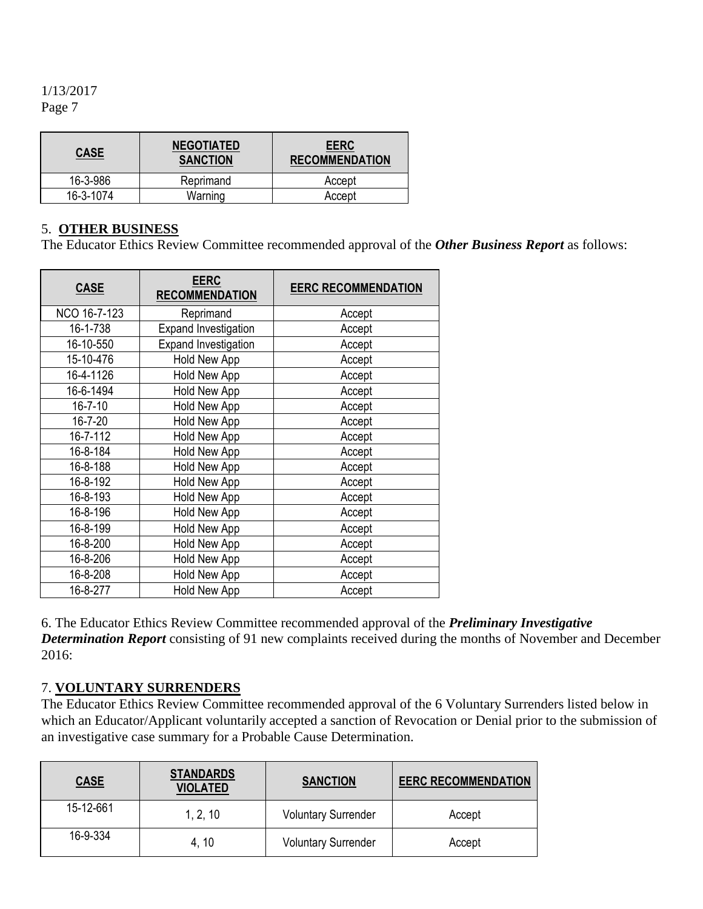| <b>CASE</b> | <b>NEGOTIATED</b><br><b>SANCTION</b> | <b>EERC</b><br><b>RECOMMENDATION</b> |
|-------------|--------------------------------------|--------------------------------------|
| 16-3-986    | Reprimand                            | Accept                               |
| 16-3-1074   | Warning                              | Accept                               |

# 5. **OTHER BUSINESS**

The Educator Ethics Review Committee recommended approval of the *Other Business Report* as follows:

| <b>CASE</b>   | <b>EERC</b><br><b>RECOMMENDATION</b> | <b>EERC RECOMMENDATION</b> |
|---------------|--------------------------------------|----------------------------|
| NCO 16-7-123  | Reprimand                            | Accept                     |
| 16-1-738      | <b>Expand Investigation</b>          | Accept                     |
| 16-10-550     | <b>Expand Investigation</b>          | Accept                     |
| 15-10-476     | Hold New App                         | Accept                     |
| 16-4-1126     | Hold New App                         | Accept                     |
| 16-6-1494     | Hold New App                         | Accept                     |
| $16 - 7 - 10$ | Hold New App                         | Accept                     |
| $16 - 7 - 20$ | Hold New App                         | Accept                     |
| 16-7-112      | Hold New App                         | Accept                     |
| 16-8-184      | Hold New App                         | Accept                     |
| 16-8-188      | Hold New App                         | Accept                     |
| 16-8-192      | Hold New App                         | Accept                     |
| 16-8-193      | Hold New App                         | Accept                     |
| 16-8-196      | Hold New App                         | Accept                     |
| 16-8-199      | Hold New App                         | Accept                     |
| 16-8-200      | Hold New App                         | Accept                     |
| 16-8-206      | Hold New App                         | Accept                     |
| 16-8-208      | Hold New App                         | Accept                     |
| 16-8-277      | Hold New App                         | Accept                     |

6. The Educator Ethics Review Committee recommended approval of the *Preliminary Investigative Determination Report* consisting of 91 new complaints received during the months of November and December 2016:

# 7. **VOLUNTARY SURRENDERS**

The Educator Ethics Review Committee recommended approval of the 6 Voluntary Surrenders listed below in which an Educator/Applicant voluntarily accepted a sanction of Revocation or Denial prior to the submission of an investigative case summary for a Probable Cause Determination.

| <b>CASE</b> | <b>STANDARDS</b><br><b>VIOLATED</b> | <b>EERC RECOMMENDATION</b><br><b>SANCTION</b> |        |
|-------------|-------------------------------------|-----------------------------------------------|--------|
| 15-12-661   | 1, 2, 10                            | <b>Voluntary Surrender</b>                    | Accept |
| 16-9-334    | 4, 10                               | <b>Voluntary Surrender</b>                    | Accept |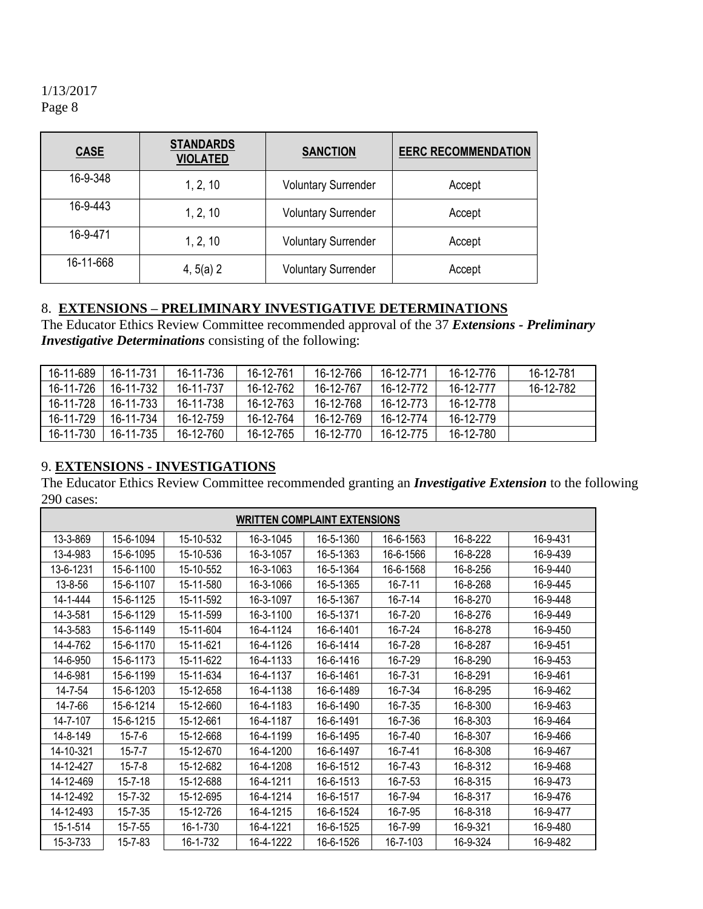| <b>CASE</b> | <b>STANDARDS</b><br><b>VIOLATED</b> | <b>SANCTION</b>            | <b>EERC RECOMMENDATION</b> |
|-------------|-------------------------------------|----------------------------|----------------------------|
| 16-9-348    | 1, 2, 10                            | <b>Voluntary Surrender</b> | Accept                     |
| 16-9-443    | 1, 2, 10                            | <b>Voluntary Surrender</b> | Accept                     |
| 16-9-471    | 1, 2, 10                            | <b>Voluntary Surrender</b> | Accept                     |
| 16-11-668   | 4, 5(a) 2                           | <b>Voluntary Surrender</b> | Accept                     |

# 8. **EXTENSIONS – PRELIMINARY INVESTIGATIVE DETERMINATIONS**

The Educator Ethics Review Committee recommended approval of the 37 *Extensions - Preliminary Investigative Determinations* consisting of the following:

| 16-11-689 | 16-11-731 | 16-11-736 | 16-12-761 | 16-12-766 | 16-12-771 | 16-12-776 | 16-12-781 |
|-----------|-----------|-----------|-----------|-----------|-----------|-----------|-----------|
| 16-11-726 | 16-11-732 | 16-11-737 | 16-12-762 | 16-12-767 | 16-12-772 | 16-12-777 | 16-12-782 |
| 16-11-728 | 16-11-733 | 16-11-738 | 16-12-763 | 16-12-768 | 16-12-773 | 16-12-778 |           |
| 16-11-729 | 16-11-734 | 16-12-759 | 16-12-764 | 16-12-769 | 16-12-774 | 16-12-779 |           |
| 16-11-730 | 16-11-735 | 16-12-760 | 16-12-765 | 16-12-770 | 16-12-775 | 16-12-780 |           |

# 9. **EXTENSIONS - INVESTIGATIONS**

The Educator Ethics Review Committee recommended granting an *Investigative Extension* to the following 290 cases:

| <b>WRITTEN COMPLAINT EXTENSIONS</b> |               |           |           |           |               |          |          |
|-------------------------------------|---------------|-----------|-----------|-----------|---------------|----------|----------|
| 13-3-869                            | 15-6-1094     | 15-10-532 | 16-3-1045 | 16-5-1360 | 16-6-1563     | 16-8-222 | 16-9-431 |
| 13-4-983                            | 15-6-1095     | 15-10-536 | 16-3-1057 | 16-5-1363 | 16-6-1566     | 16-8-228 | 16-9-439 |
| 13-6-1231                           | 15-6-1100     | 15-10-552 | 16-3-1063 | 16-5-1364 | 16-6-1568     | 16-8-256 | 16-9-440 |
| 13-8-56                             | 15-6-1107     | 15-11-580 | 16-3-1066 | 16-5-1365 | $16 - 7 - 11$ | 16-8-268 | 16-9-445 |
| 14-1-444                            | 15-6-1125     | 15-11-592 | 16-3-1097 | 16-5-1367 | $16 - 7 - 14$ | 16-8-270 | 16-9-448 |
| 14-3-581                            | 15-6-1129     | 15-11-599 | 16-3-1100 | 16-5-1371 | $16 - 7 - 20$ | 16-8-276 | 16-9-449 |
| 14-3-583                            | 15-6-1149     | 15-11-604 | 16-4-1124 | 16-6-1401 | 16-7-24       | 16-8-278 | 16-9-450 |
| 14-4-762                            | 15-6-1170     | 15-11-621 | 16-4-1126 | 16-6-1414 | 16-7-28       | 16-8-287 | 16-9-451 |
| 14-6-950                            | 15-6-1173     | 15-11-622 | 16-4-1133 | 16-6-1416 | 16-7-29       | 16-8-290 | 16-9-453 |
| 14-6-981                            | 15-6-1199     | 15-11-634 | 16-4-1137 | 16-6-1461 | 16-7-31       | 16-8-291 | 16-9-461 |
| 14-7-54                             | 15-6-1203     | 15-12-658 | 16-4-1138 | 16-6-1489 | 16-7-34       | 16-8-295 | 16-9-462 |
| 14-7-66                             | 15-6-1214     | 15-12-660 | 16-4-1183 | 16-6-1490 | 16-7-35       | 16-8-300 | 16-9-463 |
| 14-7-107                            | 15-6-1215     | 15-12-661 | 16-4-1187 | 16-6-1491 | 16-7-36       | 16-8-303 | 16-9-464 |
| 14-8-149                            | $15 - 7 - 6$  | 15-12-668 | 16-4-1199 | 16-6-1495 | 16-7-40       | 16-8-307 | 16-9-466 |
| 14-10-321                           | $15 - 7 - 7$  | 15-12-670 | 16-4-1200 | 16-6-1497 | 16-7-41       | 16-8-308 | 16-9-467 |
| 14-12-427                           | $15 - 7 - 8$  | 15-12-682 | 16-4-1208 | 16-6-1512 | 16-7-43       | 16-8-312 | 16-9-468 |
| 14-12-469                           | $15 - 7 - 18$ | 15-12-688 | 16-4-1211 | 16-6-1513 | 16-7-53       | 16-8-315 | 16-9-473 |
| 14-12-492                           | 15-7-32       | 15-12-695 | 16-4-1214 | 16-6-1517 | 16-7-94       | 16-8-317 | 16-9-476 |
| 14-12-493                           | $15 - 7 - 35$ | 15-12-726 | 16-4-1215 | 16-6-1524 | 16-7-95       | 16-8-318 | 16-9-477 |
| 15-1-514                            | $15 - 7 - 55$ | 16-1-730  | 16-4-1221 | 16-6-1525 | 16-7-99       | 16-9-321 | 16-9-480 |
| 15-3-733                            | 15-7-83       | 16-1-732  | 16-4-1222 | 16-6-1526 | 16-7-103      | 16-9-324 | 16-9-482 |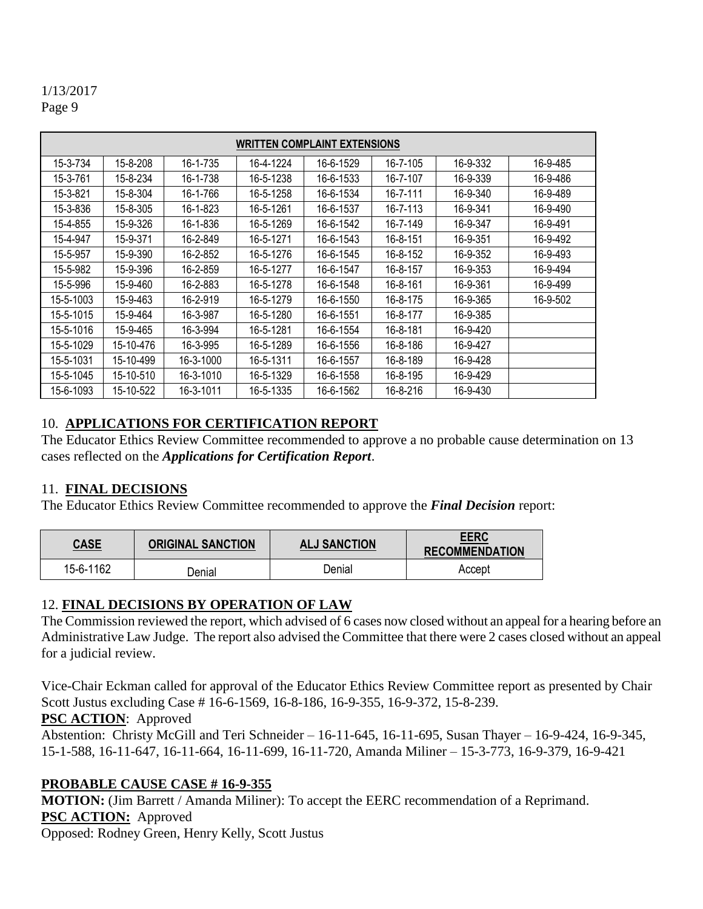| <b>WRITTEN COMPLAINT EXTENSIONS</b> |           |           |           |           |          |          |          |
|-------------------------------------|-----------|-----------|-----------|-----------|----------|----------|----------|
| 15-3-734                            | 15-8-208  | 16-1-735  | 16-4-1224 | 16-6-1529 | 16-7-105 | 16-9-332 | 16-9-485 |
| 15-3-761                            | 15-8-234  | 16-1-738  | 16-5-1238 | 16-6-1533 | 16-7-107 | 16-9-339 | 16-9-486 |
| 15-3-821                            | 15-8-304  | 16-1-766  | 16-5-1258 | 16-6-1534 | 16-7-111 | 16-9-340 | 16-9-489 |
| 15-3-836                            | 15-8-305  | 16-1-823  | 16-5-1261 | 16-6-1537 | 16-7-113 | 16-9-341 | 16-9-490 |
| 15-4-855                            | 15-9-326  | 16-1-836  | 16-5-1269 | 16-6-1542 | 16-7-149 | 16-9-347 | 16-9-491 |
| 15-4-947                            | 15-9-371  | 16-2-849  | 16-5-1271 | 16-6-1543 | 16-8-151 | 16-9-351 | 16-9-492 |
| 15-5-957                            | 15-9-390  | 16-2-852  | 16-5-1276 | 16-6-1545 | 16-8-152 | 16-9-352 | 16-9-493 |
| 15-5-982                            | 15-9-396  | 16-2-859  | 16-5-1277 | 16-6-1547 | 16-8-157 | 16-9-353 | 16-9-494 |
| 15-5-996                            | 15-9-460  | 16-2-883  | 16-5-1278 | 16-6-1548 | 16-8-161 | 16-9-361 | 16-9-499 |
| 15-5-1003                           | 15-9-463  | 16-2-919  | 16-5-1279 | 16-6-1550 | 16-8-175 | 16-9-365 | 16-9-502 |
| 15-5-1015                           | 15-9-464  | 16-3-987  | 16-5-1280 | 16-6-1551 | 16-8-177 | 16-9-385 |          |
| 15-5-1016                           | 15-9-465  | 16-3-994  | 16-5-1281 | 16-6-1554 | 16-8-181 | 16-9-420 |          |
| 15-5-1029                           | 15-10-476 | 16-3-995  | 16-5-1289 | 16-6-1556 | 16-8-186 | 16-9-427 |          |
| 15-5-1031                           | 15-10-499 | 16-3-1000 | 16-5-1311 | 16-6-1557 | 16-8-189 | 16-9-428 |          |
| 15-5-1045                           | 15-10-510 | 16-3-1010 | 16-5-1329 | 16-6-1558 | 16-8-195 | 16-9-429 |          |
| 15-6-1093                           | 15-10-522 | 16-3-1011 | 16-5-1335 | 16-6-1562 | 16-8-216 | 16-9-430 |          |

# 10. **APPLICATIONS FOR CERTIFICATION REPORT**

The Educator Ethics Review Committee recommended to approve a no probable cause determination on 13 cases reflected on the *Applications for Certification Report*.

# 11. **FINAL DECISIONS**

The Educator Ethics Review Committee recommended to approve the *Final Decision* report:

| <b>CASE</b> | <b>ORIGINAL SANCTION</b> | <b>ALJ SANCTION</b> | <b>EERC</b><br><b>RECOMMENDATION</b> |
|-------------|--------------------------|---------------------|--------------------------------------|
| 15-6-1162   | Denial                   | ⊃enial              | Accept                               |

# 12. **FINAL DECISIONS BY OPERATION OF LAW**

The Commission reviewed the report, which advised of 6 cases now closed without an appeal for a hearing before an Administrative Law Judge. The report also advised the Committee that there were 2 cases closed without an appeal for a judicial review.

Vice-Chair Eckman called for approval of the Educator Ethics Review Committee report as presented by Chair Scott Justus excluding Case # 16-6-1569, 16-8-186, 16-9-355, 16-9-372, 15-8-239.

# **PSC ACTION**: Approved

Abstention: Christy McGill and Teri Schneider – 16-11-645, 16-11-695, Susan Thayer – 16-9-424, 16-9-345, 15-1-588, 16-11-647, 16-11-664, 16-11-699, 16-11-720, Amanda Miliner – 15-3-773, 16-9-379, 16-9-421

# **PROBABLE CAUSE CASE # 16-9-355**

**MOTION:** (Jim Barrett / Amanda Miliner): To accept the EERC recommendation of a Reprimand. **PSC ACTION:** Approved

Opposed: Rodney Green, Henry Kelly, Scott Justus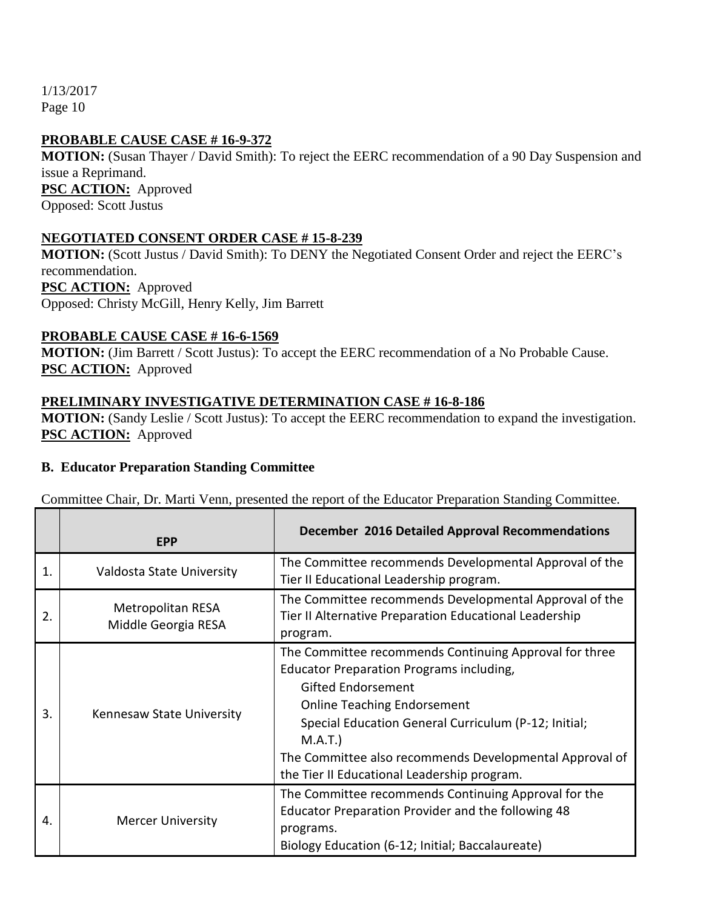# **PROBABLE CAUSE CASE # 16-9-372**

**MOTION:** (Susan Thayer / David Smith): To reject the EERC recommendation of a 90 Day Suspension and issue a Reprimand. **PSC ACTION:** Approved Opposed: Scott Justus

#### **NEGOTIATED CONSENT ORDER CASE # 15-8-239**

**MOTION:** (Scott Justus / David Smith): To DENY the Negotiated Consent Order and reject the EERC's recommendation. **PSC ACTION:** Approved Opposed: Christy McGill, Henry Kelly, Jim Barrett

#### **PROBABLE CAUSE CASE # 16-6-1569**

**MOTION:** (Jim Barrett / Scott Justus): To accept the EERC recommendation of a No Probable Cause. **PSC ACTION:** Approved

#### **PRELIMINARY INVESTIGATIVE DETERMINATION CASE # 16-8-186**

**MOTION:** (Sandy Leslie / Scott Justus): To accept the EERC recommendation to expand the investigation. **PSC ACTION:** Approved

#### **B. Educator Preparation Standing Committee**

Committee Chair, Dr. Marti Venn, presented the report of the Educator Preparation Standing Committee.

|    | <b>EPP</b>                               | <b>December 2016 Detailed Approval Recommendations</b>                                                                                                                                                                                                                                                                                             |
|----|------------------------------------------|----------------------------------------------------------------------------------------------------------------------------------------------------------------------------------------------------------------------------------------------------------------------------------------------------------------------------------------------------|
| 1. | Valdosta State University                | The Committee recommends Developmental Approval of the<br>Tier II Educational Leadership program.                                                                                                                                                                                                                                                  |
| 2. | Metropolitan RESA<br>Middle Georgia RESA | The Committee recommends Developmental Approval of the<br>Tier II Alternative Preparation Educational Leadership<br>program.                                                                                                                                                                                                                       |
| 3. | Kennesaw State University                | The Committee recommends Continuing Approval for three<br>Educator Preparation Programs including,<br><b>Gifted Endorsement</b><br><b>Online Teaching Endorsement</b><br>Special Education General Curriculum (P-12; Initial;<br>M.A.T.)<br>The Committee also recommends Developmental Approval of<br>the Tier II Educational Leadership program. |
| 4. | <b>Mercer University</b>                 | The Committee recommends Continuing Approval for the<br>Educator Preparation Provider and the following 48<br>programs.<br>Biology Education (6-12; Initial; Baccalaureate)                                                                                                                                                                        |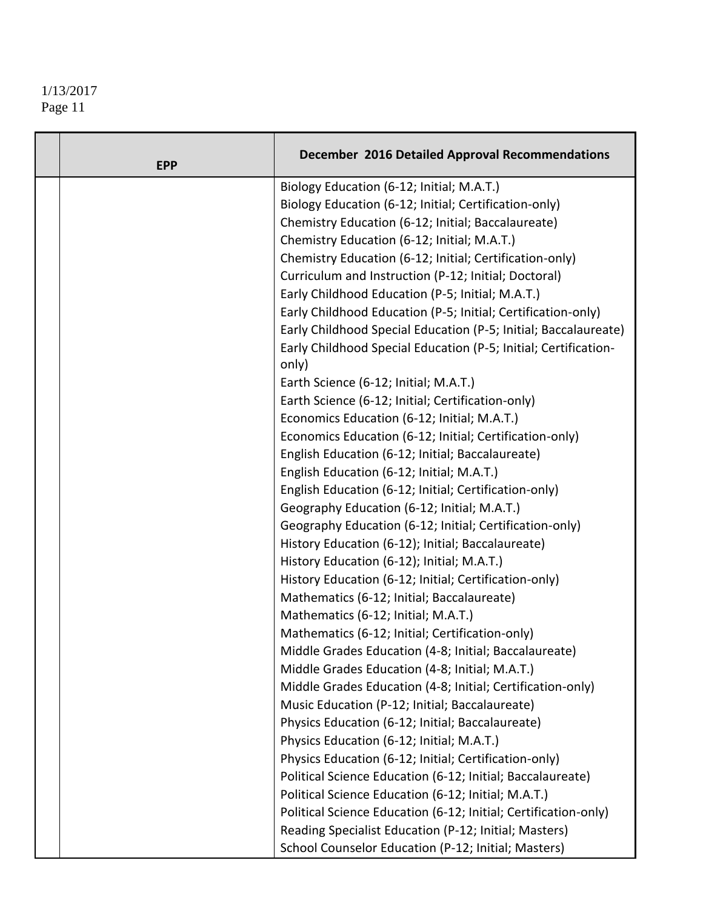| <b>EPP</b> | <b>December 2016 Detailed Approval Recommendations</b>          |
|------------|-----------------------------------------------------------------|
|            | Biology Education (6-12; Initial; M.A.T.)                       |
|            | Biology Education (6-12; Initial; Certification-only)           |
|            | Chemistry Education (6-12; Initial; Baccalaureate)              |
|            | Chemistry Education (6-12; Initial; M.A.T.)                     |
|            | Chemistry Education (6-12; Initial; Certification-only)         |
|            | Curriculum and Instruction (P-12; Initial; Doctoral)            |
|            | Early Childhood Education (P-5; Initial; M.A.T.)                |
|            | Early Childhood Education (P-5; Initial; Certification-only)    |
|            | Early Childhood Special Education (P-5; Initial; Baccalaureate) |
|            | Early Childhood Special Education (P-5; Initial; Certification- |
|            | only)                                                           |
|            | Earth Science (6-12; Initial; M.A.T.)                           |
|            | Earth Science (6-12; Initial; Certification-only)               |
|            | Economics Education (6-12; Initial; M.A.T.)                     |
|            | Economics Education (6-12; Initial; Certification-only)         |
|            | English Education (6-12; Initial; Baccalaureate)                |
|            | English Education (6-12; Initial; M.A.T.)                       |
|            | English Education (6-12; Initial; Certification-only)           |
|            | Geography Education (6-12; Initial; M.A.T.)                     |
|            | Geography Education (6-12; Initial; Certification-only)         |
|            | History Education (6-12); Initial; Baccalaureate)               |
|            | History Education (6-12); Initial; M.A.T.)                      |
|            | History Education (6-12; Initial; Certification-only)           |
|            | Mathematics (6-12; Initial; Baccalaureate)                      |
|            | Mathematics (6-12; Initial; M.A.T.)                             |
|            | Mathematics (6-12; Initial; Certification-only)                 |
|            | Middle Grades Education (4-8; Initial; Baccalaureate)           |
|            | Middle Grades Education (4-8; Initial; M.A.T.)                  |
|            | Middle Grades Education (4-8; Initial; Certification-only)      |
|            | Music Education (P-12; Initial; Baccalaureate)                  |
|            | Physics Education (6-12; Initial; Baccalaureate)                |
|            | Physics Education (6-12; Initial; M.A.T.)                       |
|            | Physics Education (6-12; Initial; Certification-only)           |
|            | Political Science Education (6-12; Initial; Baccalaureate)      |
|            | Political Science Education (6-12; Initial; M.A.T.)             |
|            | Political Science Education (6-12; Initial; Certification-only) |
|            | Reading Specialist Education (P-12; Initial; Masters)           |
|            | School Counselor Education (P-12; Initial; Masters)             |